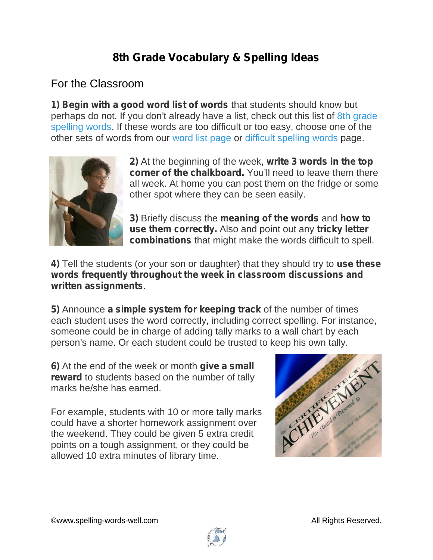## **8th Grade Vocabulary & Spelling Ideas**

## For the Classroom

**1) Begin with a good word list of words** that students should know but perhaps do not. If you don't already have a list, check out this list of 8th grade spelling words. If these words are too difficult or too easy, choose one of the other sets of words from our word list page or difficult spelling words page.



**2)** At the beginning of the week, **write 3 words in the top corner of the chalkboard.** You'll need to leave them there all week. At home you can post them on the fridge or some other spot where they can be seen easily.

**3)** Briefly discuss the **meaning of the words** and **how to use them correctly.** Also and point out any **tricky letter combinations** that might make the words difficult to spell.

**4)** Tell the students (or your son or daughter) that they should try to **use these words frequently throughout the week in classroom discussions and written assignments**.

**5)** Announce **a simple system for keeping track** of the number of times each student uses the word correctly, including correct spelling. For instance, someone could be in charge of adding tally marks to a wall chart by each person's name. Or each student could be trusted to keep his own tally.

**6)** At the end of the week or month **give a small reward** to students based on the number of tally marks he/she has earned.

For example, students with 10 or more tally marks could have a shorter homework assignment over the weekend. They could be given 5 extra credit points on a tough assignment, or they could be allowed 10 extra minutes of library time.